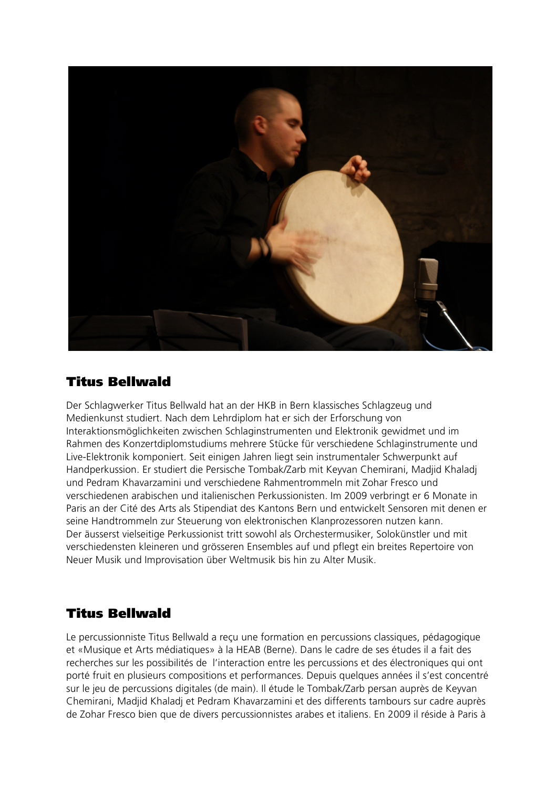

## Titus Bellwald

Der Schlagwerker Titus Bellwald hat an der HKB in Bern klassisches Schlagzeug und Medienkunst studiert. Nach dem Lehrdiplom hat er sich der Erforschung von Interaktionsmöglichkeiten zwischen Schlaginstrumenten und Elektronik gewidmet und im Rahmen des Konzertdiplomstudiums mehrere Stücke für verschiedene Schlaginstrumente und Live-Elektronik komponiert. Seit einigen Jahren liegt sein instrumentaler Schwerpunkt auf Handperkussion. Er studiert die Persische Tombak/Zarb mit Keyvan Chemirani, Madjid Khaladj und Pedram Khavarzamini und verschiedene Rahmentrommeln mit Zohar Fresco und verschiedenen arabischen und italienischen Perkussionisten. Im 2009 verbringt er 6 Monate in Paris an der Cité des Arts als Stipendiat des Kantons Bern und entwickelt Sensoren mit denen er seine Handtrommeln zur Steuerung von elektronischen Klanprozessoren nutzen kann. Der äusserst vielseitige Perkussionist tritt sowohl als Orchestermusiker, Solokünstler und mit verschiedensten kleineren und grösseren Ensembles auf und pflegt ein breites Repertoire von Neuer Musik und Improvisation über Weltmusik bis hin zu Alter Musik.

## Titus Bellwald

Le percussionniste Titus Bellwald a reçu une formation en percussions classiques, pédagogique et «Musique et Arts médiatiques» à la HEAB (Berne). Dans le cadre de ses études il a fait des recherches sur les possibilités de l'interaction entre les percussions et des électroniques qui ont porté fruit en plusieurs compositions et performances. Depuis quelques années il s'est concentré sur le jeu de percussions digitales (de main). Il étude le Tombak/Zarb persan auprès de Keyvan Chemirani, Madjid Khaladj et Pedram Khavarzamini et des differents tambours sur cadre auprès de Zohar Fresco bien que de divers percussionnistes arabes et italiens. En 2009 il réside à Paris à